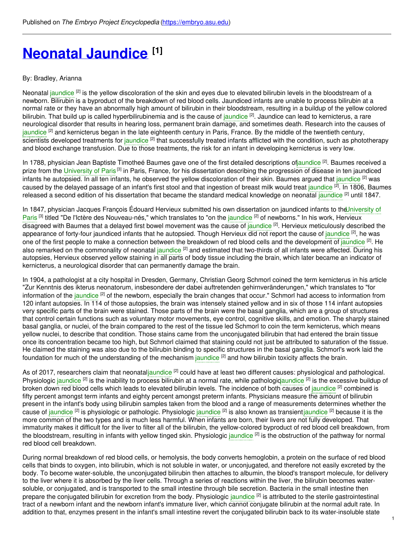# **Neonatal [Jaundice](https://embryo.asu.edu/pages/neonatal-jaundice) [1]**

# By: Bradley, Arianna

Neonatal [jaundice](https://embryo.asu.edu/search?text=jaundice) <sup>[2]</sup> is the yellow discoloration of the skin and eyes due to elevated bilirubin levels in the bloodstream of a newborn. Bilirubin is a byproduct of the breakdown of red blood cells. Jaundiced infants are unable to process bilirubin at a normal rate or they have an abnormally high amount of bilirubin in their bloodstream, resulting in a buildup of the yellow colored bilirubin. That build up is called hyperbilirubinemia and is the cause of [jaundice](https://embryo.asu.edu/search?text=jaundice) <sup>[2]</sup>. Jaundice can lead to kernicterus, a rare neurological disorder that results in hearing loss, permanent brain damage, and sometimes death. Research into the causes of [jaundice](https://embryo.asu.edu/search?text=jaundice) <sup>[2]</sup> and kernicterus began in the late eighteenth century in Paris, France. By the middle of the twentieth century, scientists developed treatments for [jaundice](https://embryo.asu.edu/search?text=jaundice) <sup>[2]</sup> that successfully treated infants afflicted with the condition, such as phototherapy and blood exchange transfusion. Due to those treatments, the risk for an infant in developing kernicterus is very low.

In 1788, physician Jean Baptiste Timotheé Baumes gave one of the first detailed descriptions of<mark>jaundice <sup>[2]</sup>. Baumes received a</mark> prize from the [University](https://embryo.asu.edu/search?text=University%20of%20Paris) of Paris<sup>[3]</sup> in Paris, France, for his dissertation describing the progression of disease in ten jaundiced infants he autopsied. In all ten infants, he observed the yellow discoloration of their skin. Baumes argued that [jaundice](https://embryo.asu.edu/search?text=jaundice) <sup>[2]</sup> was caused by the delayed passage of an infant's first stool and that ingestion of breast milk would treat [jaundice](https://embryo.asu.edu/search?text=jaundice) <sup>[2]</sup>. In 1806, Baumes released a second edition of his dissertation that became the standard medical knowledge on neonatal [jaundice](https://embryo.asu.edu/search?text=jaundice) <sup>[2]</sup> until 1847.

In 1847, physician Jacques François Édouard Hervieux submitted his own dissertation on jaundiced infants to the University of Paris<sup> [3]</sup> titled "De l'Ictère des [Nouveau-nés,"](https://embryo.asu.edu/search?text=University%20of%20Paris) which translates to "on the [jaundice](https://embryo.asu.edu/search?text=jaundice) <sup>[2]</sup> of newborns." In his work, Hervieux disagreed with Baumes that a delayed first bowel movement was the cause of [jaundice](https://embryo.asu.edu/search?text=jaundice) <sup>[2]</sup>. Hervieux meticulously described the appearance of forty-four [jaundice](https://embryo.asu.edu/search?text=jaundice)d infants that he autopsied. Though Hervieux did not report the cause of jaundice <sup>[2]</sup>, he was one of the first people to make a connection between the breakdown of red blood cells and the development of [jaundice](https://embryo.asu.edu/search?text=jaundice) <sup>[2]</sup>. He also remarked on the commonality of neonatal [jaundice](https://embryo.asu.edu/search?text=jaundice) <sup>[2]</sup> and estimated that two-thirds of all infants were affected. During his autopsies, Hervieux observed yellow staining in all parts of body tissue including the brain, which later became an indicator of kernicterus, a neurological disorder that can permanently damage the brain.

In 1904, a pathologist at a city hospital in Dresden, Germany, Christian Georg Schmorl coined the term kernicterus in his article "Zur Kenntnis des ikterus neonatorum, insbesondere der dabei auftretenden gehirnveränderungen," which translates to "for information of the [jaundice](https://embryo.asu.edu/search?text=jaundice) <sup>[2]</sup> of the newborn, especially the brain changes that occur." Schmorl had access to information from 120 infant autopsies. In 114 of those autopsies, the brain was intensely stained yellow and in six of those 114 infant autopsies very specific parts of the brain were stained. Those parts of the brain were the basal ganglia, which are a group of structures that control certain functions such as voluntary motor movements, eye control, cognitive skills, and emotion. The sharply stained basal ganglia, or nuclei, of the brain compared to the rest of the tissue led Schmorl to coin the term kernicterus, which means yellow nuclei, to describe that condition. Those stains came from the unconjugated bilirubin that had entered the brain tissue once its concentration became too high, but Schmorl claimed that staining could not just be attributed to saturation of the tissue. He claimed the staining was also due to the bilirubin binding to specific structures in the basal ganglia. Schmorl's work laid the foundation for much of the understanding of the mechanism [jaundice](https://embryo.asu.edu/search?text=jaundice) <sup>[2]</sup> and how bilirubin toxicity affects the brain.

As of 2017, researchers claim that neonata[ljaundice](https://embryo.asu.edu/search?text=jaundice) <sup>[2]</sup> could have at least two different causes: physiological and pathological. Physiologic [jaundice](https://embryo.asu.edu/search?text=jaundice) <sup>[2]</sup> is the inability to process bilirubin at a normal rate, while pathologiqaundice <sup>[2]</sup> is the excessive buildup of broken down red blood cells which leads to elevated bilirubin levels. The incidence of both causes of [jaundice](https://embryo.asu.edu/search?text=jaundice) <sup>[2]</sup> combined is fifty percent amongst term infants and eighty percent amongst preterm infants. Physicians measure the amount of bilirubin present in the infant's body using bilirubin samples taken from the blood and a range of measurements determines whether the cause of [jaundice](https://embryo.asu.edu/search?text=jaundice) <sup>[2]</sup> is physiologic or pathologic. Physiologic jaundice <sup>[2]</sup> is also known as transien[tjaundice](https://embryo.asu.edu/search?text=jaundice) <sup>[2]</sup> because it is the more common of the two types and is much less harmful. When infants are born, their livers are not fully developed. That immaturity makes it difficult for the liver to filter all of the bilirubin, the yellow-colored byproduct of red blood cell breakdown, from the bloodstream, resulting in infants with yellow tinged skin. Physiologic [jaundice](https://embryo.asu.edu/search?text=jaundice) <sup>[2]</sup> is the obstruction of the pathway for normal red blood cell breakdown.

During normal breakdown of red blood cells, or hemolysis, the body converts hemoglobin, a protein on the surface of red blood cells that binds to oxygen, into bilirubin, which is not soluble in water, or unconjugated, and therefore not easily excreted by the body. To become water-soluble, the unconjugated bilirubin then attaches to albumin, the blood's transport molecule, for delivery to the liver where it is absorbed by the liver cells. Through a series of reactions within the liver, the bilirubin becomes watersoluble, or conjugated, and is transported to the small intestine through bile secretion. Bacteria in the small intestine then prepare the conjugated bilirubin for excretion from the body. Physiologic [jaundice](https://embryo.asu.edu/search?text=jaundice) <sup>[2]</sup> is attributed to the sterile gastrointestinal tract of a newborn infant and the newborn infant's immature liver, which cannot conjugate bilirubin at the normal adult rate. In addition to that, enzymes present in the infant's small intestine revert the conjugated bilirubin back to its water-insoluble state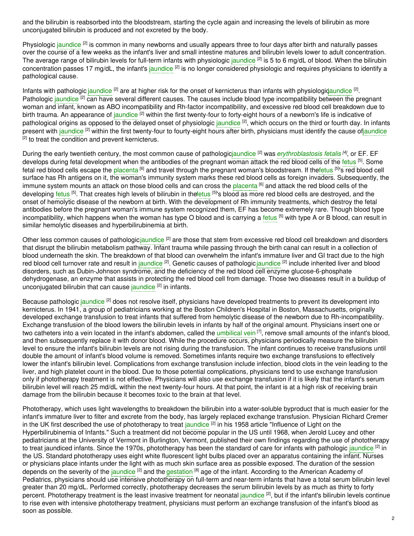and the bilirubin is reabsorbed into the bloodstream, starting the cycle again and increasing the levels of bilirubin as more unconjugated bilirubin is produced and not excreted by the body.

Physiologic [jaundice](https://embryo.asu.edu/search?text=jaundice) <sup>[2]</sup> is common in many newborns and usually appears three to four days after birth and naturally passes over the course of a few weeks as the infant's liver and small intestine matures and bilirubin levels lower to adult concentration. The average range of bilirubin levels for full-term infants with physiologic [jaundice](https://embryo.asu.edu/search?text=jaundice) <sup>[2]</sup> is 5 to 6 mg/dL of blood. When the bilirubin concentration passes 17 mg/dL, the infant's [jaundice](https://embryo.asu.edu/search?text=jaundice) <sup>[2]</sup> is no longer considered physiologic and requires physicians to identify a pathological cause.

Infants with pathologic [jaundice](https://embryo.asu.edu/search?text=jaundice) <sup>[2]</sup> are at higher risk for the onset of kernicterus than infants with physiologigaundice <sup>[2]</sup>. Pathologic [jaundice](https://embryo.asu.edu/search?text=jaundice) <sup>[2]</sup> can have several different causes. The causes include blood type incompatibility between the pregnant woman and infant, known as ABO incompatibility and Rh-factor incompatibility, and excessive red blood cell breakdown due to birth trauma. An appearance of [jaundice](https://embryo.asu.edu/search?text=jaundice) <sup>[2]</sup> within the first twenty-four to forty-eight hours of a newborn's life is indicative of pathological origins as opposed to the delayed onset of physiologic [jaundice](https://embryo.asu.edu/search?text=jaundice) <sup>[2]</sup>, which occurs on the third or fourth day. In infants present with [jaundice](https://embryo.asu.edu/search?text=jaundice) <sup>[2]</sup> within the first twenty-four to fourty-eight hours after birth, physicians must identify the cause o[fjaundice](https://embryo.asu.edu/search?text=jaundice)  $^{[2]}$  to treat the condition and prevent kernicterus.

During the early twentieth century, the most common cause of pathologic[jaundice](https://embryo.asu.edu/search?text=jaundice) [2] was *[erythroblastosis](https://embryo.asu.edu/search?text=erythroblastosis%20fetalis) fetalis [4]* , or EF. EF develops during fetal development when the antibodies of the pregnant woman attack the red blood cells of the [fetus](https://embryo.asu.edu/search?text=fetus) [5]. Some fetal red blood cells escape the <mark>[placenta](https://embryo.asu.edu/search?text=placenta) <sup>[6]</sup> and travel through the pregnant woman's bloodstream. If th[efetus](https://embryo.asu.edu/search?text=fetus) <sup>[5]</sup>'s red blood cell</mark> surface has Rh antigens on it, the woman's immunity system marks these red blood cells as foreign invaders. Subsequently, the immune system mounts an attack on those blood cells and can cross the [placenta](https://embryo.asu.edu/search?text=placenta) <sup>[6]</sup> and attack the red blood cells of the developing [fetus](https://embryo.asu.edu/search?text=fetus) <sup>[5]</sup>. That creates high levels of bilirubin in th[efetus](https://embryo.asu.edu/search?text=fetus) <sup>[5]</sup>'s blood as more red blood cells are destroyed, and the onset of hemolytic disease of the newborn at birth. With the development of Rh immunity treatments, which destroy the fetal antibodies before the pregnant woman's immune system recognized them, EF has become extremely rare. Though blood type incompatibility, which happens when the woman has type O blood and is carrying a [fetus](https://embryo.asu.edu/search?text=fetus) <sup>[5]</sup> with type A or B blood, can result in similar hemolytic diseases and hyperbilirubinemia at birth.

Other less common causes of pathologic[jaundice](https://embryo.asu.edu/search?text=jaundice) <sup>[2]</sup> are those that stem from excessive red blood cell breakdown and disorders that disrupt the bilirubin metabolism pathway. Infant trauma while passing through the birth canal can result in a collection of blood underneath the skin. The breakdown of that blood can overwhelm the infant's immature liver and GI tract due to the high red blood cell turnover rate and result in [jaundice](https://embryo.asu.edu/search?text=jaundice) <sup>[2]</sup>. Genetic causes of pathologic jaundice <sup>[2]</sup> include inherited liver and blood disorders, such as Dubin-Johnson syndrome, and the deficiency of the red blood cell enzyme glucose-6-phosphate dehydrogenase, an enzyme that assists in protecting the red blood cell from damage. Those two diseases result in a buildup of unconjugated bilirubin that can cause [jaundice](https://embryo.asu.edu/search?text=jaundice) <sup>[2]</sup> in infants.

Because pathologic [jaundice](https://embryo.asu.edu/search?text=jaundice) <sup>[2]</sup> does not resolve itself, physicians have developed treatments to prevent its development into kernicterus. In 1941, a group of pediatricians working at the Boston Children's Hospital in Boston, Massachusetts, originally developed exchange transfusion to treat infants that suffered from hemolytic disease of the newborn due to Rh-incompatibility. Exchange transfusion of the blood lowers the bilirubin levels in infants by half of the original amount. Physicians insert one or two catheters into a vein located in the infant's abdomen, called the [umbilical](https://embryo.asu.edu/search?text=umbilical%20vein) vein<sup>[7]</sup>, remove small amounts of the infant's blood, and then subsequently replace it with donor blood. While the procedure occurs, physicians periodically measure the bilirubin level to ensure the infant's bilirubin levels are not rising during the transfusion. The infant continues to receive transfusions until double the amount of infant's blood volume is removed. Sometimes infants require two exchange transfusions to effectively lower the infant's bilirubin level. Complications from exchange transfusion include infection, blood clots in the vein leading to the liver, and high platelet count in the blood. Due to those potential complications, physicians tend to use exchange transfusion only if phototherapy treatment is not effective. Physicians will also use exchange transfusion if it is likely that the infant's serum bilirubin level will reach 25 md/dL within the next twenty-four hours. At that point, the infant is at a high risk of receiving brain damage from the bilirubin because it becomes toxic to the brain at that level.

Phototherapy, which uses light wavelengths to breakdown the bilirubin into a water-soluble byproduct that is much easier for the infant's immature liver to filter and excrete from the body, has largely replaced exchange transfusion. Physician Richard Cremer in the UK first described the use of phototherapy to treat [jaundice](https://embryo.asu.edu/search?text=jaundice) <sup>[2]</sup> in his 1958 article "Influence of Light on the Hyperbilirubinemia of Infants." Such a treatment did not become popular in the US until 1968, when Jerold Lucey and other pediatricians at the University of Vermont in Burlington, Vermont, published their own findings regarding the use of phototherapy to treat [jaundice](https://embryo.asu.edu/search?text=jaundice)d infants. Since the 1970s, phototherapy has been the standard of care for infants with pathologic jaundice <sup>[2]</sup> in the US. Standard phototherapy uses eight white fluorescent light bulbs placed over an apparatus containing the infant. Nurses or physicians place infants under the light with as much skin surface area as possible exposed. The duration of the session depends on the severity of the [jaundice](https://embryo.asu.edu/search?text=jaundice) <sup>[2]</sup> and the [gestation](https://embryo.asu.edu/search?text=gestation) <sup>[8]</sup> age of the infant. According to the American Academy of Pediatrics, physicians should use intensive phototherapy on full-term and near-term infants that have a total serum bilirubin level greater than 20 mg/dL. Performed correctly, phototherapy decreases the serum bilirubin levels by as much as thirty to forty percent. Phototherapy treatment is the least invasive treatment for neonatal [jaundice](https://embryo.asu.edu/search?text=jaundice) <sup>[2]</sup>, but if the infant's bilirubin levels continue to rise even with intensive phototherapy treatment, physicians must perform an exchange transfusion of the infant's blood as soon as possible.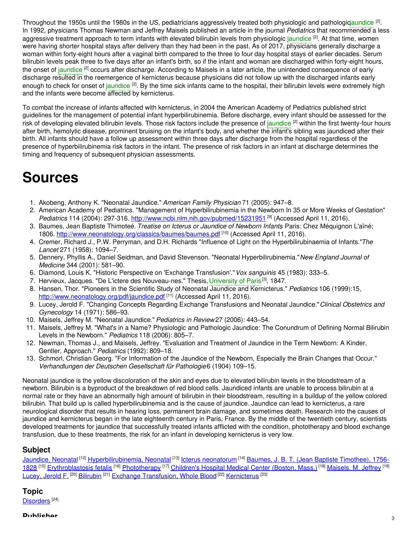Throughout the 1950s until the 1980s in the US, pediatricians aggressively treated both physiologic and pathologiq<mark>aundice <sup>[2]</sup>.</mark> In 1992, physicians Thomas Newman and Jeffrey Maisels published an article in the journal *Pediatrics* that recommended a less aggressive treatment approach to term infants with elevated bilirubin levels from physiologic [jaundice](https://embryo.asu.edu/search?text=jaundice) <sup>[2]</sup>. At that time, women were having shorter hospital stays after delivery than they had been in the past. As of 2017, physicians generally discharge a woman within forty-eight hours after a vaginal birth compared to the three to four day hospital stays of earlier decades. Serum bilirubin levels peak three to five days after an infant's birth, so if the infant and woman are discharged within forty-eight hours, the onset of [jaundice](https://embryo.asu.edu/search?text=jaundice) <sup>[2]</sup> occurs after discharge. According to Maisels in a later article, the unintended consequence of early discharge resulted in the reemergence of kernicterus because physicians did not follow up with the discharged infants early enough to check for onset of [jaundice](https://embryo.asu.edu/search?text=jaundice) <sup>[2]</sup>. By the time sick infants came to the hospital, their bilirubin levels were extremely high and the infants were become affected by kernicterus.

To combat the increase of infants affected with kernicterus, in 2004 the American Academy of Pediatrics published strict guidelines for the management of potential infant hyperbilirubinemia. Before discharge, every infant should be assessed for the risk of developing elevated bilirubin levels. Those risk factors include the presence of [jaundice](https://embryo.asu.edu/search?text=jaundice) <sup>[2]</sup> within the first twenty-four hours after birth, hemolytic disease, prominent bruising on the infant's body, and whether the infant's sibling was jaundiced after their birth. All infants should have a follow up assessment within three days after discharge from the hospital regardless of the presence of hyperbilirubinemia risk factors in the infant. The presence of risk factors in an infant at discharge determines the timing and frequency of subsequent physician assessments.

# **Sources**

- 1. Akobeng, Anthony K. "Neonatal Jaundice." *American Family Physician* 71 (2005): 947–8.
- 2. American Academy of Pediatrics. "Management of Hyperbilirubinemia in the Newborn In 35 or More Weeks of Gestation" *Pediatrics* 114 (2004): 297-316. <http://www.ncbi.nlm.nih.gov/pubmed/15231951> [9] (Accessed April 11, 2016).
- 3. Baumes, Jean Baptiste Thimoteé. *Treatise on Icterus or Jaundice of Newborn Infants*. Paris: Chez Méquignon L'aîné; 1806. <http://www.neonatology.org/classics/baumes/baumes.pdf> <sup>[10]</sup> (Accessed April 11, 2016).
- 4. Cremer, Richard J., P.W. Perryman, and D.H. Richards "Influence of Light on the Hyperbilirubinaemia of Infants."*The Lancet* 271 (1958): 1094–7.
- 5. Dennery, Phyllis A., Daniel Seidman, and David Stevenson. "Neonatal Hyperbilirubinemia."*New England Journal of Medicine* 344 (2001): 581–90.
- 6. Diamond, Louis K. "Historic Perspective on 'Exchange Transfusion'."*Vox sanguinis* 45 (1983): 333–5.
- 7. Hervieux, Jacques. "De L'ictere des Nouveau-nes." Thesis, [University](https://embryo.asu.edu/search?text=University%20of%20Paris) of Paris<sup>[3]</sup>, 1847.
- 8. Hansen, Thor. "Pioneers in the Scientific Study of Neonatal Jaundice and Kernicterus." *Pediatrics* 106 (1999):15, <http://www.neonatology.org/pdf/jaundice.pdf><sup>[11]</sup> (Accessed April 11, 2016).
- 9. Lucey, Jerold F. "Changing Concepts Regarding Exchange Transfusions and Neonatal Jaundice."*Clinical Obstetrics and Gynecology* 14 (1971): 586–93.
- 10. Maisels, Jeffrey M. "Neonatal Jaundice." *Pediatrics in Review* 27 (2006): 443–54.
- 11. Maisels, Jeffrey M. "What's in a Name? Physiologic and Pathologic Jaundice: The Conundrum of Defining Normal Bilirubin Levels in the Newborn." *Pediatrics* 118 (2006): 805–7.
- 12. Newman, Thomas J., and Maisels, Jeffrey. "Evaluation and Treatment of Jaundice in the Term Newborn: A Kinder, Gentler, Approach." *Pediatrics* (1992): 809–18.
- 13. Schmorl, Christian Georg. "For Information of the Jaundice of the Newborn, Especially the Brain Changes that Occur." *Verhandlungen der Deutschen Gesellschaft für Pathologie*6 (1904) 109–15.

Neonatal jaundice is the yellow discoloration of the skin and eyes due to elevated bilirubin levels in the bloodstream of a newborn. Bilirubin is a byproduct of the breakdown of red blood cells. Jaundiced infants are unable to process bilirubin at a normal rate or they have an abnormally high amount of bilirubin in their bloodstream, resulting in a buildup of the yellow colored bilirubin. That build up is called hyperbilirubinemia and is the cause of jaundice. Jaundice can lead to kernicterus, a rare neurological disorder that results in hearing loss, permanent brain damage, and sometimes death. Research into the causes of jaundice and kernicterus began in the late eighteenth century in Paris, France. By the middle of the twentieth century, scientists developed treatments for jaundice that successfully treated infants afflicted with the condition, phototherapy and blood exchange transfusion, due to these treatments, the risk for an infant in developing kernicterus is very low.

# **Subject**

[Jaundice,](https://embryo.asu.edu/library-congress-subject-headings/jaundice-neonatal) Neonatal <sup>[12]</sup> [Hyperbilirubinemia,](https://embryo.asu.edu/library-congress-subject-headings/baumes-j-b-t-jean-baptiste-timothee-1756-1828) Neonatal <sup>[13]</sup> Icterus [neonatorum](https://embryo.asu.edu/library-congress-subject-headings/icterus-neonatorum) <sup>[14]</sup> Baumes, J. B. T. (Jean Baptiste Timothee), 1756-1828 <sup>[15]</sup> [Erythroblastosis](https://embryo.asu.edu/library-congress-subject-headings/erythroblastosis-fetalis) fetalis <sup>[16]</sup> [Phototherapy](https://embryo.asu.edu/library-congress-subject-headings/phototherapy) <sup>[17]</sup> [Children's](https://embryo.asu.edu/library-congress-subject-headings/childrens-hospital-medical-center-boston-mass) Hospital Medical Center (Boston, Mass.) <sup>[18]</sup> [Maisels,](https://embryo.asu.edu/library-congress-subject-headings/maisels-m-jeffrey) M. Jeffrey <sup>[19]</sup> [Lucey,](https://embryo.asu.edu/library-congress-subject-headings/lucey-jerold-f) Jerold F. <sup>[20]</sup> [Bilirubin](https://embryo.asu.edu/library-congress-subject-headings/bilirubin) <sup>[21]</sup> Exchange [Transfusion,](https://embryo.asu.edu/medical-subject-headings/exchange-transfusion-whole-blood) Whole Blood <sup>[22]</sup> [Kernicterus](https://embryo.asu.edu/medical-subject-headings/kernicterus) <sup>[23]</sup>

# **Topic**

[Disorders](https://embryo.asu.edu/topics/disorders)<sup>[24]</sup>